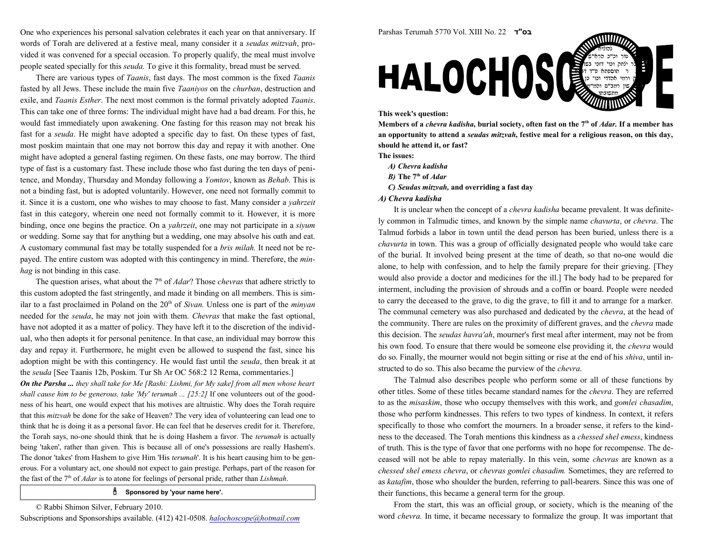One who experiences his personal salvation celebrates it each year on that anniversary. Ifwords of Torah are delivered at a festive meal, many consider it a *seudas mitzvah*, provided it was convened for a special occasion. To properly qualify, the meal must involvepeople seated specially for this seuda. To give it this formality, bread must be served.

There are various types of *Taanis*, fast days. The most common is the fixed *Taanis* fasted by all Jews. These include the main five *Taaniyos* on the *churban*, destruction and exile, and Taanis Esther. The next most common is the formal privately adopted Taanis. This can take one of three forms: The individual might have had a bad dream. For this, he would fast immediately upon awakening. One fasting for this reason may not break hisfast for a seuda. He might have adopted a specific day to fast. On these types of fast, most poskim maintain that one may not borrow this day and repay it with another. One might have adopted a general fasting regimen. On these fasts, one may borrow. The third type of fast is a customary fast. These include those who fast during the ten days of penitence, and Monday, Thursday and Monday following a Yomtov, known as Behab. This isnot a binding fast, but is adopted voluntarily. However, one need not formally commit toit. Since it is a custom, one who wishes to may choose to fast. Many consider a *yahrzeit* fast in this category, wherein one need not formally commit to it. However, it is morebinding, once one begins the practice. On a *yahrzeit*, one may not participate in a *siyum*  or wedding. Some say that for anything but a wedding, one may absolve his oath and eat.A customary communal fast may be totally suspended for a *bris milah*. It need not be repayed. The entire custom was adopted with this contingency in mind. Therefore, the minhag is not binding in this case.

The question arises, what about the  $7<sup>th</sup>$  of *Adar*? Those *chevras* that adhere strictly to this custom adopted the fast stringently, and made it binding on all members. This is similar to a fast proclaimed in Poland on the  $20<sup>th</sup>$  of Sivan. Unless one is part of the *minyan* needed for the seuda, he may not join with them. Chevras that make the fast optional, have not adopted it as a matter of policy. They have left it to the discretion of the individual, who then adopts it for personal penitence. In that case, an individual may borrow thisday and repay it. Furthermore, he might even be allowed to suspend the fast, since hisadoption might be with this contingency. He would fast until the *seuda*, then break it at the seuda [See Taanis 12b, Poskim. Tur Sh Ar OC 568:2 12 Rema, commentaries.]

**On the Parsha ...** they shall take for Me [Rashi: Lishmi, for My sake] from all men whose heart shall cause him to be generous, take 'My' terumah ...  $[25:2]$  If one volunteers out of the goodness of his heart, one would expect that his motives are altruistic. Why does the Torah requirethat this *mitzvah* be done for the sake of Heaven? The very idea of volunteering can lead one to think that he is doing it as a personal favor. He can feel that he deserves credit for it. Therefore,the Torah says, no-one should think that he is doing Hashem a favor. The *terumah* is actually being 'taken', rather than given. This is because all of one's possessions are really Hashem's.The donor 'takes' from Hashem to give Him 'His *terumah*'. It is his heart causing him to be generous. For a voluntary act, one should not expect to gain prestige. Perhaps, part of the reason forthe fast of the  $7<sup>th</sup>$  of *Adar* is to atone for feelings of personal pride, rather than *Lishmah*.

## $\stackrel{a}{\text{O}}$  Sponsored by 'your name here'.

© Rabbi Shimon Silver, February 2010.





## This week's question:

Members of a *chevra kadisha*, burial society, often fast on the 7<sup>th</sup> of *Adar*. If a member has an opportunity to attend a *seudas mitzvah*, festive meal for a religious reason, on this day, should he attend it, or fast?

The issues:

- A) Chevra kadisha
- *B)* The 7<sup>th</sup> of *Adar*
- C) Seudas mitzvah, and overriding a fast day
- A) Chevra kadisha

It is unclear when the concept of a *chevra kadisha* became prevalent. It was definitely common in Talmudic times, and known by the simple name chavurta, or chevra. The Talmud forbids a labor in town until the dead person has been buried, unless there is achavurta in town. This was a group of officially designated people who would take care of the burial. It involved being present at the time of death, so that no-one would die alone, to help with confession, and to help the family prepare for their grieving. [They would also provide a doctor and medicines for the ill.] The body had to be prepared forinterment, including the provision of shrouds and a coffin or board. People were needed to carry the deceased to the grave, to dig the grave, to fill it and to arrange for a marker.The communal cemetery was also purchased and dedicated by the chevra, at the head ofthe community. There are rules on the proximity of different graves, and the *chevra* made this decision. The seudas havra'ah, mourner's first meal after interment, may not be from his own food. To ensure that there would be someone else providing it, the *chevra* would do so. Finally, the mourner would not begin sitting or rise at the end of his shiva, until instructed to do so. This also became the purview of the chevra.

The Talmud also describes people who perform some or all of these functions byother titles. Some of these titles became standard names for the *chevra*. They are referred to as the misaskim, those who occupy themselves with this work, and gomlei chasadim, those who perform kindnesses. This refers to two types of kindness. In context, it refers specifically to those who comfort the mourners. In a broader sense, it refers to the kindness to the deceased. The Torah mentions this kindness as a chessed shel emess, kindness of truth. This is the type of favor that one performs with no hope for recompense. The deceased will not be able to repay materially. In this vein, some chevras are known as a chessed shel emess chevra, or chevras gomlei chasadim. Sometimes, they are referred to as katafim, those who shoulder the burden, referring to pall-bearers. Since this was one oftheir functions, this became a general term for the group.

From the start, this was an official group, or society, which is the meaning of theword *chevra*. In time, it became necessary to formalize the group. It was important that